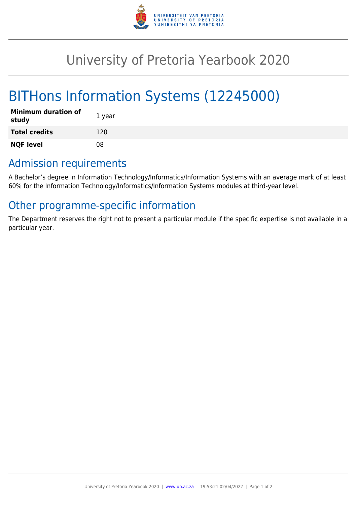

## University of Pretoria Yearbook 2020

# BITHons Information Systems (12245000)

| <b>Minimum duration of</b><br>study | 1 year |
|-------------------------------------|--------|
| <b>Total credits</b>                | 120    |
| <b>NQF level</b>                    | 08     |

## Admission requirements

A Bachelor's degree in Information Technology/Informatics/Information Systems with an average mark of at least 60% for the Information Technology/Informatics/Information Systems modules at third-year level.

## Other programme-specific information

The Department reserves the right not to present a particular module if the specific expertise is not available in a particular year.